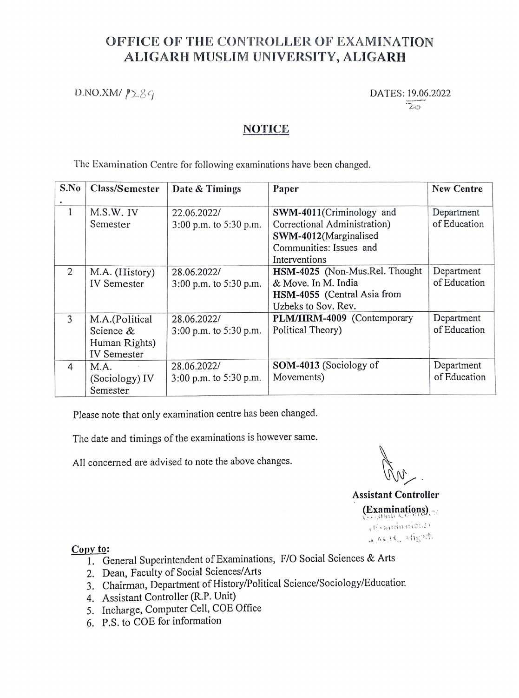## OFFICE OF THE CONTROLLER OF EXAMINATION ALIGARH MUSLIM UNIVERSITY, ALIGARH

 $D.NO.XM/ P2.89$  DATES: 19.06.2022

 $\overline{2\pi}$ 

## NOTICE

The Examination Centre for following examinations have been changed.

| S.No | Class/Semester     | Date & Timings         | Paper                          | New Centre   |
|------|--------------------|------------------------|--------------------------------|--------------|
|      |                    |                        |                                |              |
| 1    | M.S.W. IV          | 22.06.2022/            | SWM-4011(Criminology and       | Department   |
|      | Semester           | 3:00 p.m. to 5:30 p.m. | Correctional Administration)   | of Education |
|      |                    |                        | SWM-4012(Marginalised          |              |
|      |                    |                        | Communities: Issues and        |              |
|      |                    |                        | Interventions                  |              |
| 2    | M.A. (History)     | 28.06.2022/            | HSM-4025 (Non-Mus.Rel. Thought | Department   |
|      | <b>IV</b> Semester | 3:00 p.m. to 5:30 p.m. | & Move. In M. India            | of Education |
|      |                    |                        | HSM-4055 (Central Asia from    |              |
|      |                    |                        | Uzbeks to Sov. Rev.            |              |
| 3    | M.A.(Political     | 28.06.2022/            | PLM/HRM-4009 (Contemporary     | Department   |
|      | Science &          | 3:00 p.m. to 5:30 p.m. | Political Theory)              | of Education |
|      | Human Rights)      |                        |                                |              |
|      | <b>IV</b> Semester |                        |                                |              |
| 4    | M.A.               | 28.06.2022/            | SOM-4013 (Sociology of         | Department   |
|      | (Sociology) IV     | 3:00 p.m. to 5:30 p.m. | Movements)                     | of Education |
|      | Semester           |                        |                                |              |

Please note that only examination centre has been changed.

The date and timings of the examinations is however same.

All concerned are advised to note the above changes.

Assistant Controller (Examinations) 4. Atgaining<br>4. Atgail 4. Atgain

### Copy to:

- 1. General Superintendent of Examinations, F/O Social Sciences & Arts
- 2. Dean, Faculty of Social Sciences/Arts
- Chairman, Department of History/Political Science/Sociology/Education
- 4. Assistant Controller (R.P. Unit)
- 5. Incharge, Computer Cell, COE Office
- 6. P.S.to COE for information